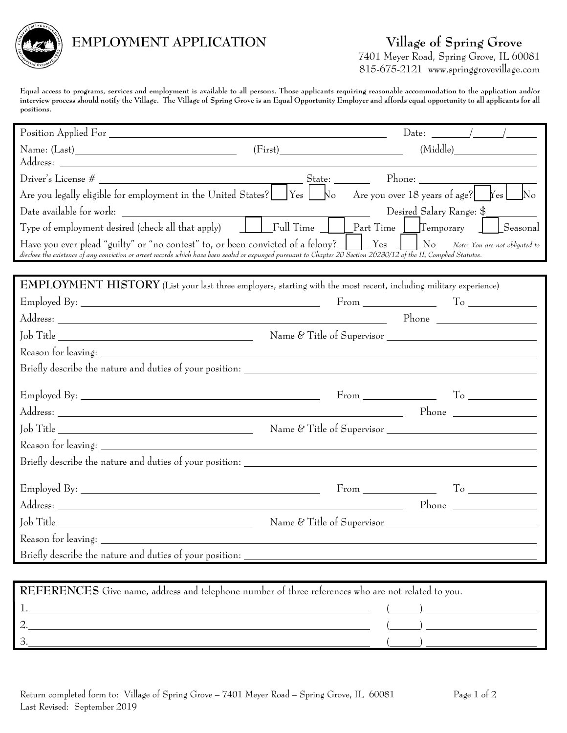

## **EMPLOYMENT APPLICATION Village of Spring Grove**

7401 Meyer Road, Spring Grove, IL 60081 815-675-2121 www.springgrovevillage.com

Equal access to programs, services and employment is available to all persons. Those applicants requiring reasonable accommodation to the application and/or interview process should notify the Village. The Village of Spring Grove is an Equal Opportunity Employer and affords equal opportunity to all applicants for all **positions.**

|                                                                                                                                                                                                                                                                                              |         | Date: $\frac{1}{\sqrt{1-\frac{1}{2}}}\left  \frac{1}{\sqrt{1-\frac{1}{2}}}\right $ |  |
|----------------------------------------------------------------------------------------------------------------------------------------------------------------------------------------------------------------------------------------------------------------------------------------------|---------|------------------------------------------------------------------------------------|--|
|                                                                                                                                                                                                                                                                                              | (First) | (Middle)                                                                           |  |
|                                                                                                                                                                                                                                                                                              |         |                                                                                    |  |
|                                                                                                                                                                                                                                                                                              |         |                                                                                    |  |
| Are you legally eligible for employment in the United States? $\bigsqcup$ Yes $\bigsqcup$ No Are you over 18 years of age? $\fbox{Yes}\fbox{Yes}$                                                                                                                                            |         |                                                                                    |  |
|                                                                                                                                                                                                                                                                                              |         |                                                                                    |  |
|                                                                                                                                                                                                                                                                                              |         |                                                                                    |  |
| Have you ever plead "guilty" or "no contest" to, or been convicted of a felony? Ves UNo Note: You are not obligated to<br>disclose the existence of any conviction or arrest records which have been sealed or expunged pursuant to Chapter 20 Section 26230/12 of the IL Complied Statutes. |         |                                                                                    |  |
|                                                                                                                                                                                                                                                                                              |         |                                                                                    |  |
| EMPLOYMENT HISTORY (List your last three employers, starting with the most recent, including military experience)                                                                                                                                                                            |         |                                                                                    |  |
|                                                                                                                                                                                                                                                                                              |         |                                                                                    |  |
|                                                                                                                                                                                                                                                                                              |         |                                                                                    |  |
|                                                                                                                                                                                                                                                                                              |         |                                                                                    |  |
|                                                                                                                                                                                                                                                                                              |         |                                                                                    |  |
|                                                                                                                                                                                                                                                                                              |         |                                                                                    |  |
|                                                                                                                                                                                                                                                                                              |         | $From \_\_\_\_\_\_\_\_\_\_\_\_\_\_\_\_$                                            |  |
|                                                                                                                                                                                                                                                                                              |         | $Phone \_$                                                                         |  |
|                                                                                                                                                                                                                                                                                              |         |                                                                                    |  |
|                                                                                                                                                                                                                                                                                              |         |                                                                                    |  |
|                                                                                                                                                                                                                                                                                              |         |                                                                                    |  |
|                                                                                                                                                                                                                                                                                              |         | $From \_\_\_\_\_\_\_\_\$                                                           |  |
| Address: Phone Phone Phone Phone Phone Phone Phone Phone Phone Phone Phone Phone Phone Phone Phone Phone Phone Phone Phone Phone Phone Phone Phone Phone Phone Phone Phone Phone Phone Phone Phone Phone Phone Phone Phone Pho                                                               |         |                                                                                    |  |
| Job Title                                                                                                                                                                                                                                                                                    |         | Name & Title of Supervisor                                                         |  |
| Reason for leaving: _____                                                                                                                                                                                                                                                                    |         |                                                                                    |  |
| Briefly describe the nature and duties of your position:                                                                                                                                                                                                                                     |         |                                                                                    |  |
|                                                                                                                                                                                                                                                                                              |         |                                                                                    |  |
| REFERENCES Give name, address and telephone number of three references who are not related to you.                                                                                                                                                                                           |         |                                                                                    |  |
| <u> 1980 - Johann Barnett, fransk politik (f. 1980)</u>                                                                                                                                                                                                                                      |         |                                                                                    |  |
|                                                                                                                                                                                                                                                                                              |         |                                                                                    |  |

 $3.$  (b)  $($   $)$